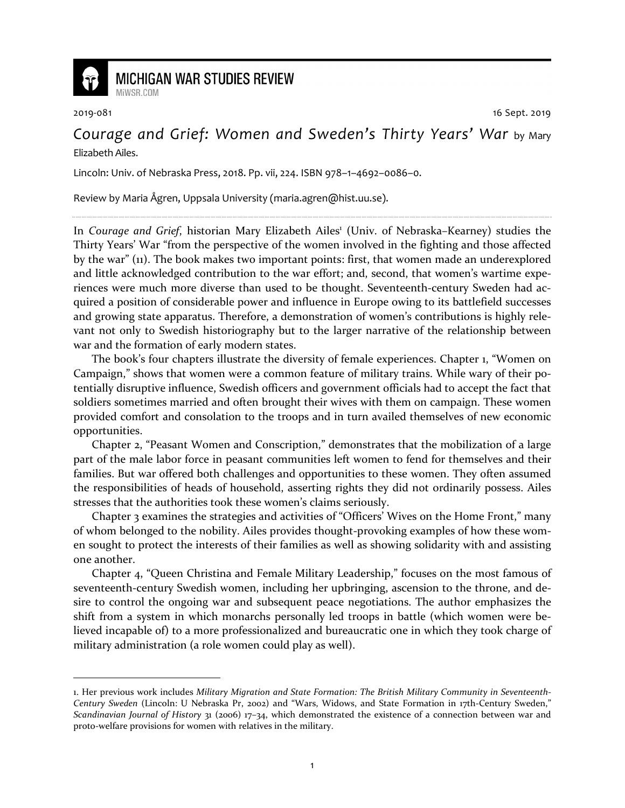

## **MICHIGAN WAR STUDIES REVIEW**

MiWSR COM

2019-081 16 Sept. 2019

## *Courage and Grief: Women and Sweden's Thirty Years' War* by Mary Elizabeth Ailes.

Lincoln: Univ. of Nebraska Press, 2018. Pp. vii, 224. ISBN 978–1–4692–0086–0.

Review by Maria Ågren, Uppsala University (maria.agren@hist.uu.se).

In Courage and Grief, historian Mary Elizabeth Ailes<sup>1</sup> (Univ. of Nebraska-Kearney) studies the Thirty Years' War "from the perspective of the women involved in the fighting and those affected by the war" (11). The book makes two important points: first, that women made an underexplored and little acknowledged contribution to the war effort; and, second, that women's wartime experiences were much more diverse than used to be thought. Seventeenth-century Sweden had acquired a position of considerable power and influence in Europe owing to its battlefield successes and growing state apparatus. Therefore, a demonstration of women's contributions is highly relevant not only to Swedish historiography but to the larger narrative of the relationship between war and the formation of early modern states.

The book's four chapters illustrate the diversity of female experiences. Chapter 1, "Women on Campaign," shows that women were a common feature of military trains. While wary of their potentially disruptive influence, Swedish officers and government officials had to accept the fact that soldiers sometimes married and often brought their wives with them on campaign. These women provided comfort and consolation to the troops and in turn availed themselves of new economic opportunities.

Chapter 2, "Peasant Women and Conscription," demonstrates that the mobilization of a large part of the male labor force in peasant communities left women to fend for themselves and their families. But war offered both challenges and opportunities to these women. They often assumed the responsibilities of heads of household, asserting rights they did not ordinarily possess. Ailes stresses that the authorities took these women's claims seriously.

Chapter 3 examines the strategies and activities of "Officers' Wives on the Home Front," many of whom belonged to the nobility. Ailes provides thought-provoking examples of how these women sought to protect the interests of their families as well as showing solidarity with and assisting one another.

Chapter 4, "Queen Christina and Female Military Leadership," focuses on the most famous of seventeenth-century Swedish women, including her upbringing, ascension to the throne, and desire to control the ongoing war and subsequent peace negotiations. The author emphasizes the shift from a system in which monarchs personally led troops in battle (which women were believed incapable of) to a more professionalized and bureaucratic one in which they took charge of military administration (a role women could play as well).

<sup>1.</sup> Her previous work includes *Military Migration and State Formation: The British Military Community in Seventeenth-Century Sweden* (Lincoln: U Nebraska Pr, 2002) and "Wars, Widows, and State Formation in 17th-Century Sweden," *Scandinavian Journal of History* 31 (2006) 17–34, which demonstrated the existence of a connection between war and proto-welfare provisions for women with relatives in the military.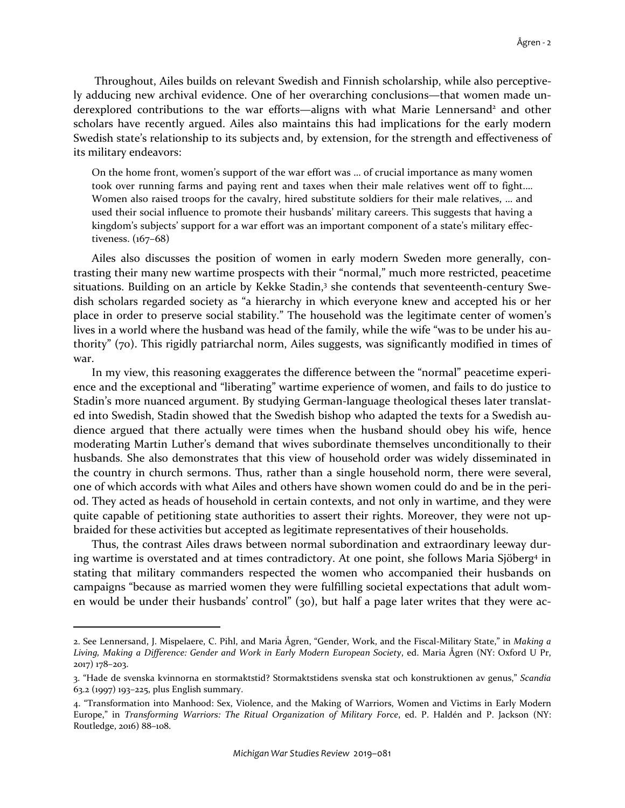Throughout, Ailes builds on relevant Swedish and Finnish scholarship, while also perceptively adducing new archival evidence. One of her overarching conclusions—that women made underexplored contributions to the war efforts—aligns with what Marie Lennersand<sup>2</sup> and other scholars have recently argued. Ailes also maintains this had implications for the early modern Swedish state's relationship to its subjects and, by extension, for the strength and effectiveness of its military endeavors:

On the home front, women's support of the war effort was … of crucial importance as many women took over running farms and paying rent and taxes when their male relatives went off to fight.… Women also raised troops for the cavalry, hired substitute soldiers for their male relatives, … and used their social influence to promote their husbands' military careers. This suggests that having a kingdom's subjects' support for a war effort was an important component of a state's military effectiveness. (167–68)

Ailes also discusses the position of women in early modern Sweden more generally, contrasting their many new wartime prospects with their "normal," much more restricted, peacetime situations. Building on an article by Kekke Stadin,<sup>3</sup> she contends that seventeenth-century Swedish scholars regarded society as "a hierarchy in which everyone knew and accepted his or her place in order to preserve social stability." The household was the legitimate center of women's lives in a world where the husband was head of the family, while the wife "was to be under his authority" (70). This rigidly patriarchal norm, Ailes suggests, was significantly modified in times of war.

In my view, this reasoning exaggerates the difference between the "normal" peacetime experience and the exceptional and "liberating" wartime experience of women, and fails to do justice to Stadin's more nuanced argument. By studying German-language theological theses later translated into Swedish, Stadin showed that the Swedish bishop who adapted the texts for a Swedish audience argued that there actually were times when the husband should obey his wife, hence moderating Martin Luther's demand that wives subordinate themselves unconditionally to their husbands. She also demonstrates that this view of household order was widely disseminated in the country in church sermons. Thus, rather than a single household norm, there were several, one of which accords with what Ailes and others have shown women could do and be in the period. They acted as heads of household in certain contexts, and not only in wartime, and they were quite capable of petitioning state authorities to assert their rights. Moreover, they were not upbraided for these activities but accepted as legitimate representatives of their households.

Thus, the contrast Ailes draws between normal subordination and extraordinary leeway during wartime is overstated and at times contradictory. At one point, she follows Maria Sjöberg<sup>4</sup> in stating that military commanders respected the women who accompanied their husbands on campaigns "because as married women they were fulfilling societal expectations that adult women would be under their husbands' control" (30), but half a page later writes that they were ac-

<sup>2.</sup> See Lennersand, J. Mispelaere, C. Pihl, and Maria Ågren, "Gender, Work, and the Fiscal-Military State," in *Making a Living, Making a Difference: Gender and Work in Early Modern European Society*, ed. Maria Ågren (NY: Oxford U Pr, 2017) 178–203.

<sup>3. &</sup>quot;Hade de svenska kvinnorna en stormaktstid? Stormaktstidens svenska stat och konstruktionen av genus," *Scandia* 63.2 (1997) 193–225, plus English summary.

<sup>4. &</sup>quot;Transformation into Manhood: Sex, Violence, and the Making of Warriors, Women and Victims in Early Modern Europe," in *Transforming Warriors: The Ritual Organization of Military Force*, ed. P. Haldén and P. Jackson (NY: Routledge, 2016) 88–108.